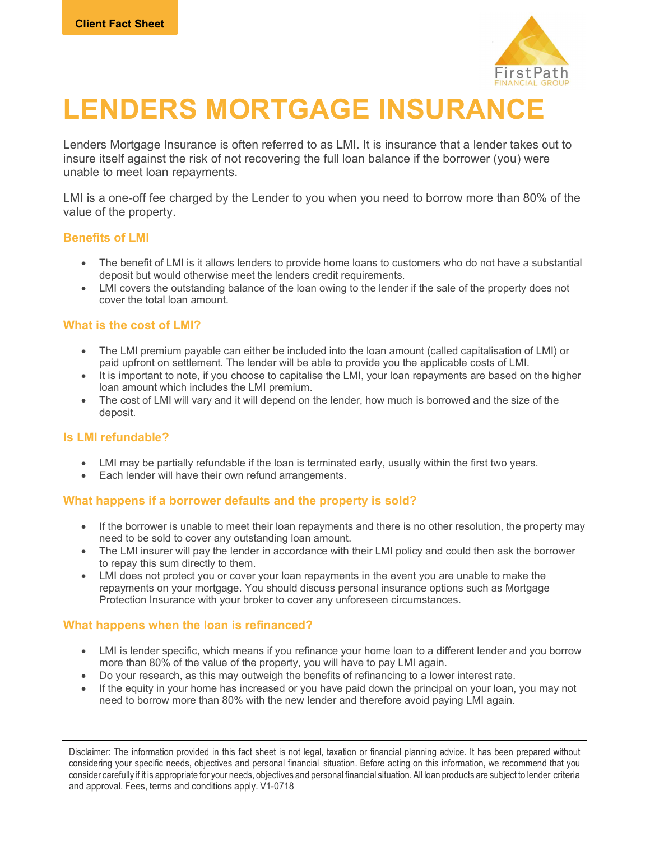

# LENDERS MORTGAGE INSURANCE

Lenders Mortgage Insurance is often referred to as LMI. It is insurance that a lender takes out to insure itself against the risk of not recovering the full loan balance if the borrower (you) were unable to meet loan repayments.

LMI is a one-off fee charged by the Lender to you when you need to borrow more than 80% of the value of the property.

## Benefits of LMI

- The benefit of LMI is it allows lenders to provide home loans to customers who do not have a substantial deposit but would otherwise meet the lenders credit requirements.
- LMI covers the outstanding balance of the loan owing to the lender if the sale of the property does not cover the total loan amount.

### What is the cost of LMI?

- The LMI premium payable can either be included into the loan amount (called capitalisation of LMI) or paid upfront on settlement. The lender will be able to provide you the applicable costs of LMI.
- It is important to note, if you choose to capitalise the LMI, your loan repayments are based on the higher loan amount which includes the LMI premium.
- The cost of LMI will vary and it will depend on the lender, how much is borrowed and the size of the deposit.

#### Is LMI refundable?

- LMI may be partially refundable if the loan is terminated early, usually within the first two years.
- Each lender will have their own refund arrangements.

## What happens if a borrower defaults and the property is sold?

- If the borrower is unable to meet their loan repayments and there is no other resolution, the property may need to be sold to cover any outstanding loan amount.
- The LMI insurer will pay the lender in accordance with their LMI policy and could then ask the borrower to repay this sum directly to them.
- LMI does not protect you or cover your loan repayments in the event you are unable to make the repayments on your mortgage. You should discuss personal insurance options such as Mortgage Protection Insurance with your broker to cover any unforeseen circumstances.

## What happens when the loan is refinanced?

- LMI is lender specific, which means if you refinance your home loan to a different lender and you borrow more than 80% of the value of the property, you will have to pay LMI again.
- Do your research, as this may outweigh the benefits of refinancing to a lower interest rate.
- If the equity in your home has increased or you have paid down the principal on your loan, you may not need to borrow more than 80% with the new lender and therefore avoid paying LMI again.

Disclaimer: The information provided in this fact sheet is not legal, taxation or financial planning advice. It has been prepared without considering your specific needs, objectives and personal financial situation. Before acting on this information, we recommend that you consider carefully if it is appropriate for your needs, objectives and personal financial situation. All loan products are subject to lender criteria and approval. Fees, terms and conditions apply. V1-0718